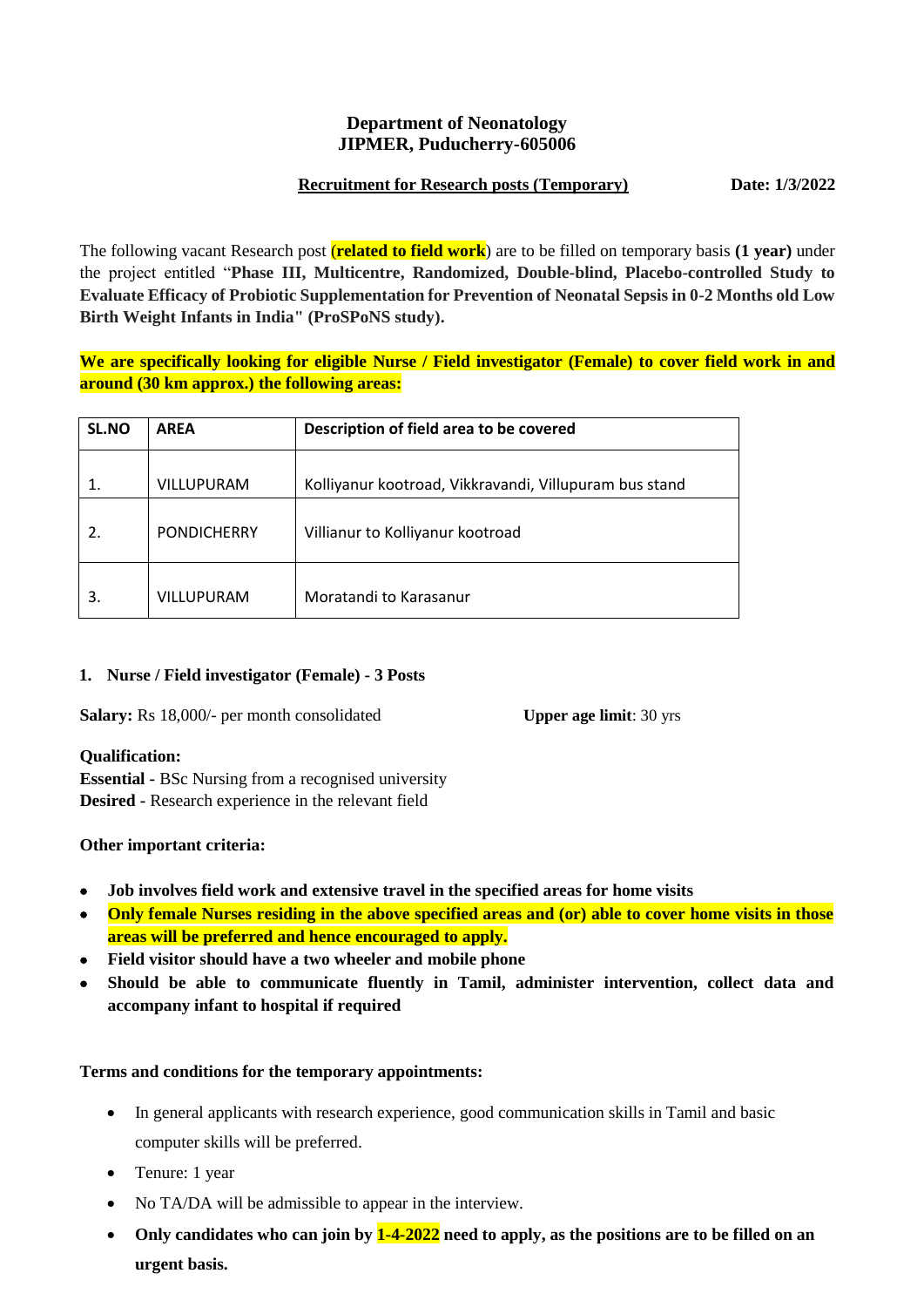## **Department of Neonatology JIPMER, Puducherry-605006**

### **Recruitment for Research posts (Temporary) Date: 1/3/2022**

The following vacant Research post (**related to field work**) are to be filled on temporary basis **(1 year)** under the project entitled "**Phase III, Multicentre, Randomized, Double-blind, Placebo-controlled Study to Evaluate Efficacy of Probiotic Supplementation for Prevention of Neonatal Sepsis in 0-2 Months old Low Birth Weight Infants in India" (ProSPoNS study).**

**We are specifically looking for eligible Nurse / Field investigator (Female) to cover field work in and around (30 km approx.) the following areas:**

| <b>SL.NO</b> | <b>AREA</b>        | Description of field area to be covered                |  |
|--------------|--------------------|--------------------------------------------------------|--|
|              | VILLUPURAM         | Kolliyanur kootroad, Vikkravandi, Villupuram bus stand |  |
| 2.           | <b>PONDICHERRY</b> | Villianur to Kolliyanur kootroad                       |  |
| 3.           | VILLUPURAM         | Moratandi to Karasanur                                 |  |

## **1. Nurse / Field investigator (Female) - 3 Posts**

**Salary:** Rs 18,000/- per month consolidated **Upper age limit**: 30 yrs

## **Qualification:**

**Essential -** BSc Nursing from a recognised university **Desired -** Research experience in the relevant field

## **Other important criteria:**

- **Job involves field work and extensive travel in the specified areas for home visits**
- **Only female Nurses residing in the above specified areas and (or) able to cover home visits in those areas will be preferred and hence encouraged to apply.**
- **Field visitor should have a two wheeler and mobile phone**
- **Should be able to communicate fluently in Tamil, administer intervention, collect data and accompany infant to hospital if required**

## **Terms and conditions for the temporary appointments:**

- In general applicants with research experience, good communication skills in Tamil and basic computer skills will be preferred.
- Tenure: 1 year
- No TA/DA will be admissible to appear in the interview.
- **Only candidates who can join by 1-4-2022 need to apply, as the positions are to be filled on an urgent basis.**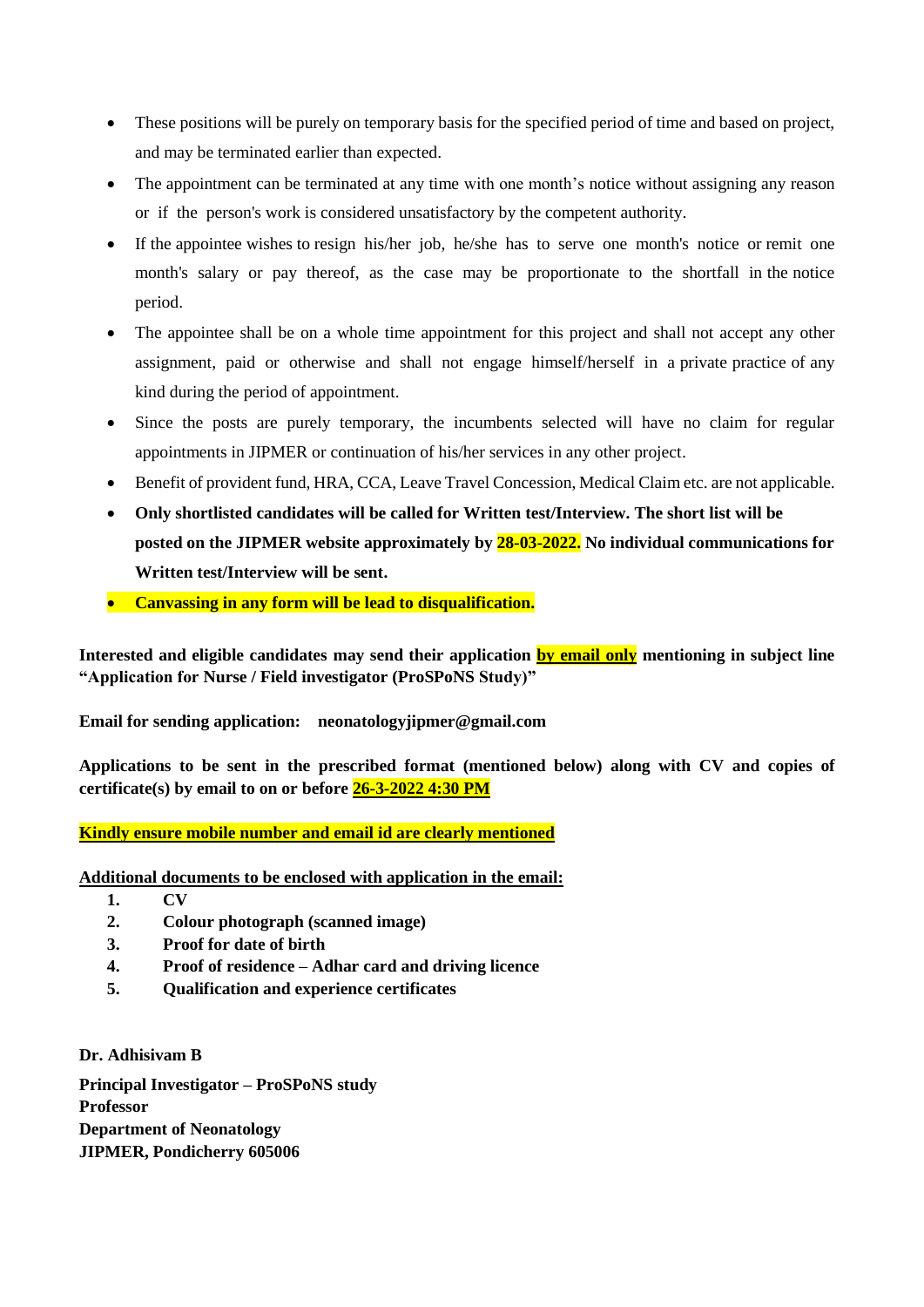- These positions will be purely on temporary basis for the specified period of time and based on project, and may be terminated earlier than expected.
- The appointment can be terminated at any time with one month's notice without assigning any reason or if the person's work is considered unsatisfactory by the competent authority.
- If the appointee wishes to resign his/her job, he/she has to serve one month's notice or remit one month's salary or pay thereof, as the case may be proportionate to the shortfall in the notice period.
- The appointee shall be on a whole time appointment for this project and shall not accept any other assignment, paid or otherwise and shall not engage himself/herself in a private practice of any kind during the period of appointment.
- Since the posts are purely temporary, the incumbents selected will have no claim for regular appointments in JIPMER or continuation of his/her services in any other project.
- Benefit of provident fund, HRA, CCA, Leave Travel Concession, Medical Claim etc. are not applicable.
- **Only shortlisted candidates will be called for Written test/Interview. The short list will be posted on the JIPMER website approximately by 28-03-2022. No individual communications for Written test/Interview will be sent.**
- **Canvassing in any form will be lead to disqualification.**

**Interested and eligible candidates may send their application by email only mentioning in subject line "Application for Nurse / Field investigator (ProSPoNS Study)"** 

**Email for sending application: neonatologyjipmer@gmail.com**

**Applications to be sent in the prescribed format (mentioned below) along with CV and copies of certificate(s) by email to on or before 26-3-2022 4:30 PM**

**Kindly ensure mobile number and email id are clearly mentioned**

**Additional documents to be enclosed with application in the email:**

- **1. CV**
- **2. Colour photograph (scanned image)**
- **3. Proof for date of birth**
- **4. Proof of residence – Adhar card and driving licence**
- **5. Qualification and experience certificates**

**Dr. Adhisivam B Principal Investigator – ProSPoNS study Professor Department of Neonatology JIPMER, Pondicherry 605006**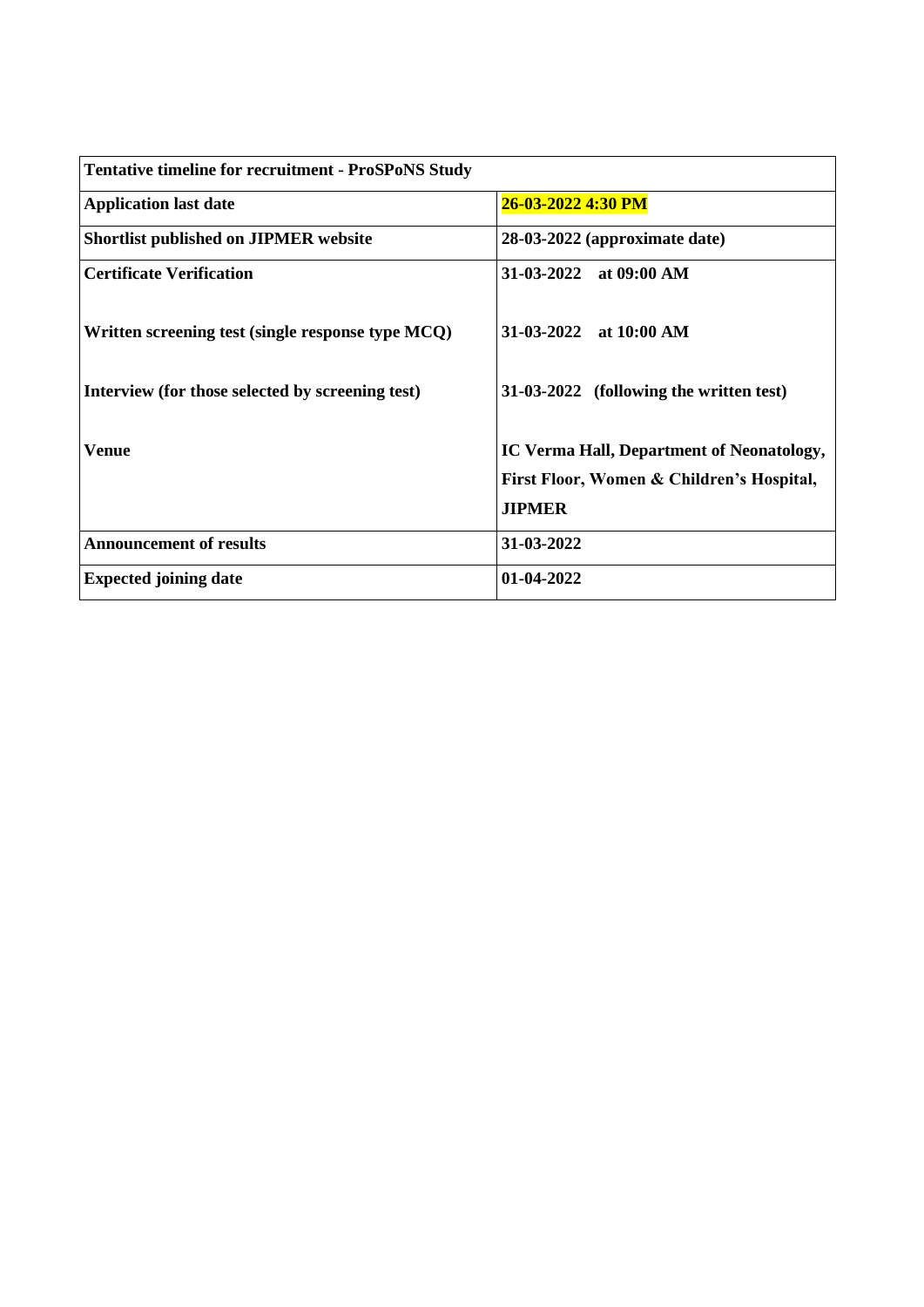| <b>Tentative timeline for recruitment - ProSPoNS Study</b> |                                           |
|------------------------------------------------------------|-------------------------------------------|
| <b>Application last date</b>                               | 26-03-2022 4:30 PM                        |
| <b>Shortlist published on JIPMER website</b>               | 28-03-2022 (approximate date)             |
| <b>Certificate Verification</b>                            | 31-03-2022 at 09:00 AM                    |
| Written screening test (single response type MCQ)          | $31-03-2022$ at 10:00 AM                  |
| Interview (for those selected by screening test)           | 31-03-2022 (following the written test)   |
| Venue                                                      | IC Verma Hall, Department of Neonatology, |
|                                                            | First Floor, Women & Children's Hospital, |
|                                                            | <b>JIPMER</b>                             |
| <b>Announcement of results</b>                             | 31-03-2022                                |
| <b>Expected joining date</b>                               | 01-04-2022                                |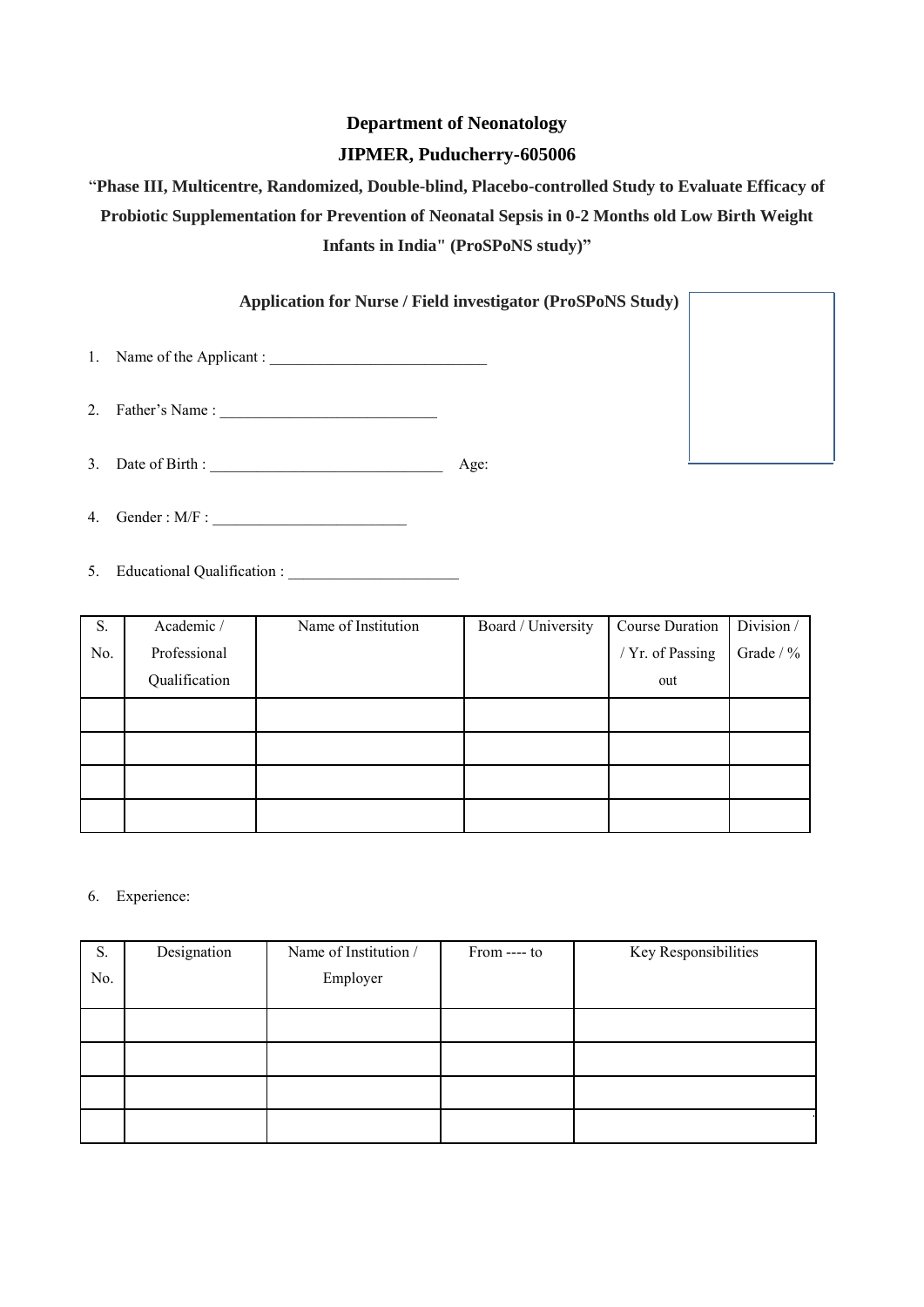# **Department of Neonatology JIPMER, Puducherry-605006**

# "**Phase III, Multicentre, Randomized, Double-blind, Placebo-controlled Study to Evaluate Efficacy of Probiotic Supplementation for Prevention of Neonatal Sepsis in 0-2 Months old Low Birth Weight Infants in India" (ProSPoNS study)"**

# **Application for Nurse / Field investigator (ProSPoNS Study)**

1. Name of the Applicant : \_\_\_\_\_\_\_\_\_\_\_\_\_\_\_\_\_\_\_\_\_\_\_\_\_\_\_\_

2. Father's Name :

3. Date of Birth : \_\_\_\_\_\_\_\_\_\_\_\_\_\_\_\_\_\_\_\_\_\_\_\_\_\_\_\_\_\_ Age:

4. Gender :  $M/F$  :

5. Educational Qualification :

| S.  | Academic /    | Name of Institution | Board / University | Course Duration  | Division / |
|-----|---------------|---------------------|--------------------|------------------|------------|
| No. | Professional  |                     |                    | / Yr. of Passing | Grade / %  |
|     | Qualification |                     |                    | out              |            |
|     |               |                     |                    |                  |            |
|     |               |                     |                    |                  |            |
|     |               |                     |                    |                  |            |
|     |               |                     |                    |                  |            |

#### 6. Experience:

| S.  | Designation | Name of Institution / | From ---- to | Key Responsibilities |
|-----|-------------|-----------------------|--------------|----------------------|
| No. |             | Employer              |              |                      |
|     |             |                       |              |                      |
|     |             |                       |              |                      |
|     |             |                       |              |                      |
|     |             |                       |              |                      |
|     |             |                       |              |                      |
|     |             |                       |              |                      |